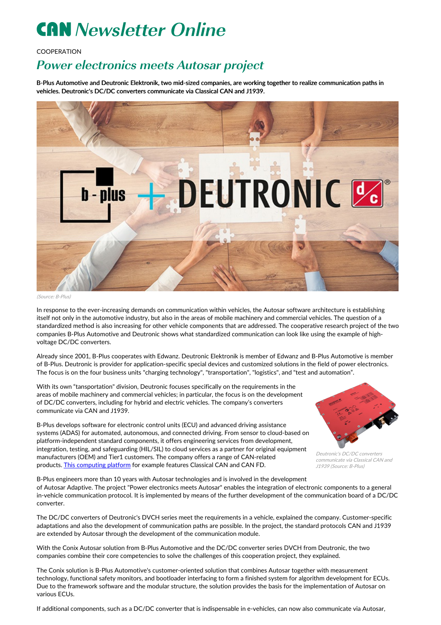## **CAN** Newsletter Online

## **COOPERATION**

## Power electronics meets Autosar project

B-Plus Automotive and Deutronic Elektronik, two mid-sized companies, are working together to realize communication paths in vehicles. Deutronic's DC/DC converters communicate via Classical CAN and J1939.



(Source: B-Plus)

In response to the ever-increasing demands on communication within vehicles, the Autosar software architecture is establishing itself not only in the automotive industry, but also in the areas of mobile machinery and commercial vehicles. The question of a standardized method is also increasing for other vehicle components that are addressed. The cooperative research project of the two companies B-Plus Automotive and Deutronic shows what standardized communication can look like using the example of highvoltage DC/DC converters.

Already since 2001, B-Plus cooperates with Edwanz. Deutronic Elektronik is member of Edwanz and B-Plus Automotive is member of B-Plus. Deutronic is provider for application-specific special devices and customized solutions in the field of power electronics. The focus is on the four business units "charging technology", "transportation", "logistics", and "test and automation".

With its own "tansportation" division, Deutronic focuses specifically on the requirements in the areas of mobile machinery and commercial vehicles; in particular, the focus is on the development of DC/DC converters, including for hybrid and electric vehicles. The company's converters communicate via CAN and J1939.

B-Plus develops software for electronic control units (ECU) and advanced driving assistance systems (ADAS) for automated, autonomous, and connected driving. From sensor to cloud-based on platform-independent standard components, it offers engineering services from development, integration, testing, and safeguarding (HIL/SIL) to cloud services as a partner for original equipment manufacturers (OEM) and Tier1 customers. The company offers a range of CAN-related products. This [computing](https://can-newsletter.org/tools/tools-miscellaneous/200925_computing-platform-with-classical-can-and-can-fd_b-plus) platform for example features Classical CAN and CAN FD.



Deutronic's DC/DC converters communicate via Classical CAN and J1939 (Source: B-Plus)

B-Plus engineers more than 10 years with Autosar technologies and is involved in the development of Autosar Adaptive. The project "Power electronics meets Autosar" enables the integration of electronic components to a general in-vehicle communication protocol. It is implemented by means of the further development of the communication board of a DC/DC converter.

The DC/DC converters of Deutronic's DVCH series meet the requirements in a vehicle, explained the company. Customer-specific adaptations and also the development of communication paths are possible. In the project, the standard protocols CAN and J1939 are extended by Autosar through the development of the communication module.

With the Conix Autosar solution from B-Plus Automotive and the DC/DC converter series DVCH from Deutronic, the two companies combine their core competencies to solve the challenges of this cooperation project, they explained.

The Conix solution is B-Plus Automotive's customer-oriented solution that combines Autosar together with measurement technology, functional safety monitors, and bootloader interfacing to form a finished system for algorithm development for ECUs. Due to the framework software and the modular structure, the solution provides the basis for the implementation of Autosar on various ECUs.

If additional components, such as a DC/DC converter that is indispensable in e-vehicles, can now also communicate via Autosar,